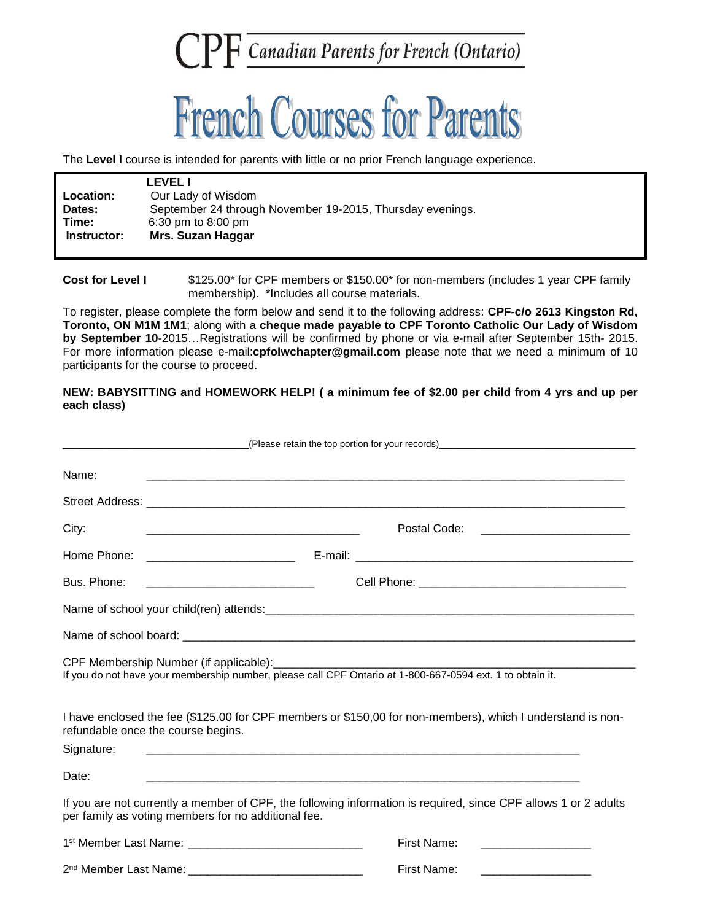## CPF Canadian Parents for French (Ontario)



The **Level I** course is intended for parents with little or no prior French language experience.

|                  | <b>LEVEL I</b>                                            |  |
|------------------|-----------------------------------------------------------|--|
| <b>Location:</b> | Our Lady of Wisdom                                        |  |
| Dates:           | September 24 through November 19-2015, Thursday evenings. |  |
| Time:            | $6:30 \text{ pm}$ to $8:00 \text{ pm}$                    |  |
| Instructor:      | Mrs. Suzan Haggar                                         |  |
|                  |                                                           |  |

**Cost for Level I** \$125.00\* for CPF members or \$150.00\* for non-members (includes 1 year CPF family membership).\*Includes all course materials.

To register, please complete the form below and send it to the following address: **CPF-c/o 2613 Kingston Rd, Toronto, ON M1M 1M1**; along with a **cheque made payable to CPF Toronto Catholic Our Lady of Wisdom by September 10**-2015…Registrations will be confirmed by phone or via e-mail after September 15th- 2015. For more information please e-mail:**cpfolwchapter@gmail.com** please note that we need a minimum of 10 participants for the course to proceed.

**NEW: BABYSITTING and HOMEWORK HELP! ( a minimum fee of \$2.00 per child from 4 yrs and up per each class)**

| (Please retain the top portion for your records) example and the state of the state of the state of the state of the state of the state of the state of the state of the state of the state of the state of the state of the s |                                                                                    |                                                                                                                 |  |
|--------------------------------------------------------------------------------------------------------------------------------------------------------------------------------------------------------------------------------|------------------------------------------------------------------------------------|-----------------------------------------------------------------------------------------------------------------|--|
| Name:                                                                                                                                                                                                                          |                                                                                    |                                                                                                                 |  |
|                                                                                                                                                                                                                                |                                                                                    |                                                                                                                 |  |
| City:                                                                                                                                                                                                                          | <u> 2000 - Jan James James Barnett, amerikan bizko arteko hamarkada (h. 1878).</u> |                                                                                                                 |  |
| Home Phone:                                                                                                                                                                                                                    |                                                                                    |                                                                                                                 |  |
| Bus. Phone:                                                                                                                                                                                                                    |                                                                                    |                                                                                                                 |  |
|                                                                                                                                                                                                                                |                                                                                    |                                                                                                                 |  |
|                                                                                                                                                                                                                                |                                                                                    |                                                                                                                 |  |
| CPF Membership Number (if applicable):<br>If you do not have your membership number, please call CPF Ontario at 1-800-667-0594 ext. 1 to obtain it.                                                                            |                                                                                    |                                                                                                                 |  |
| I have enclosed the fee (\$125.00 for CPF members or \$150,00 for non-members), which I understand is non-<br>refundable once the course begins.<br>Signature:                                                                 |                                                                                    |                                                                                                                 |  |
| Date:                                                                                                                                                                                                                          |                                                                                    |                                                                                                                 |  |
|                                                                                                                                                                                                                                | per family as voting members for no additional fee.                                | If you are not currently a member of CPF, the following information is required, since CPF allows 1 or 2 adults |  |
|                                                                                                                                                                                                                                |                                                                                    | First Name:                                                                                                     |  |
|                                                                                                                                                                                                                                | 2 <sup>nd</sup> Member Last Name: <b>Accelerate Structure 12</b>                   | <b>First Name:</b><br>the contract of the contract of the contract of                                           |  |